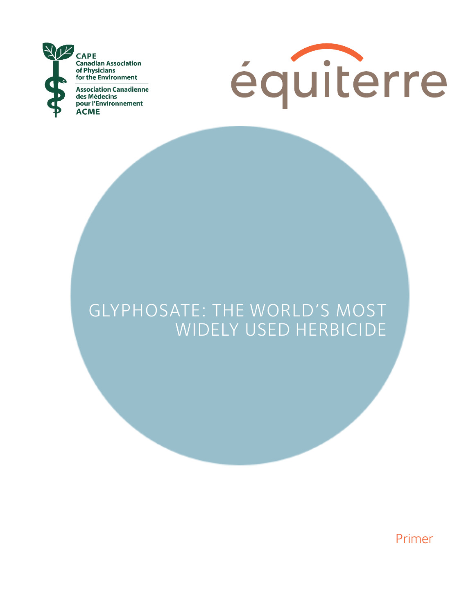



## GLYPHOSATE: THE WORLD'S MOST WIDELY USED HERBICIDE

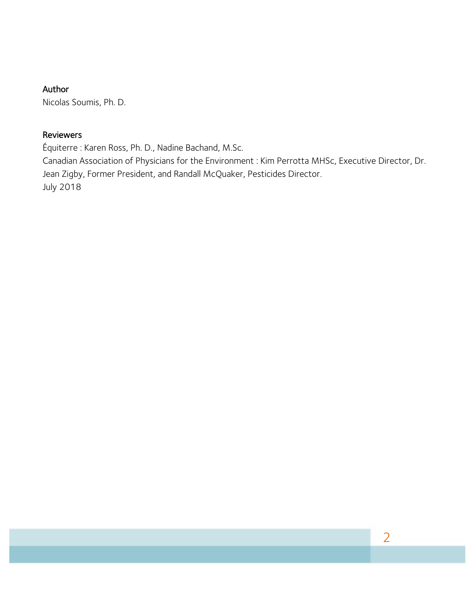#### Author

Nicolas Soumis, Ph. D.

#### Reviewers

Équiterre : Karen Ross, Ph. D., Nadine Bachand, M.Sc.

Canadian Association of Physicians for the Environment : Kim Perrotta MHSc, Executive Director, Dr. Jean Zigby, Former President, and Randall McQuaker, Pesticides Director. July 2018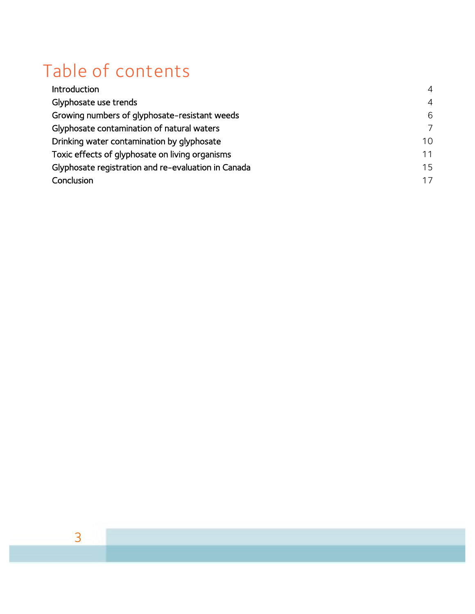## Table of contents

| Introduction                                        | $\overline{4}$ |
|-----------------------------------------------------|----------------|
| Glyphosate use trends                               | $\overline{4}$ |
| Growing numbers of glyphosate-resistant weeds       | 6              |
| Glyphosate contamination of natural waters          | $\overline{7}$ |
| Drinking water contamination by glyphosate          | 10             |
| Toxic effects of glyphosate on living organisms     | 11             |
| Glyphosate registration and re-evaluation in Canada | 15             |
| Conclusion                                          | 17             |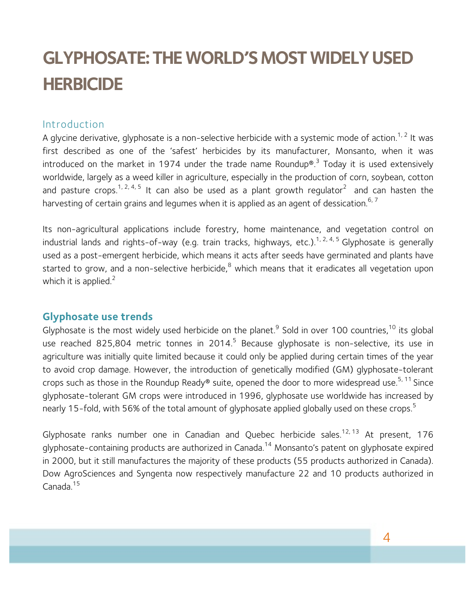# **GLYPHOSATE: THE WORLD'S MOST WIDELY USED HERBICIDE**

### Introduction

A glycine derivative, glyphosate is a non-selective herbicide with a systemic mode of action.<sup>1, 2</sup> It was first described as one of the 'safest' herbicides by its manufacturer, Monsanto, when it was introduced on the market in 1974 under the trade name Roundup®.<sup>3</sup> Today it is used extensively worldwide, largely as a weed killer in agriculture, especially in the production of corn, soybean, cotton and pasture crops.<sup>1, 2, 4, 5</sup> It can also be used as a plant growth regulator<sup>2</sup> and can hasten the harvesting of certain grains and legumes when it is applied as an agent of dessication.  $^{6,7}$ 

Its non-agricultural applications include forestry, home maintenance, and vegetation control on industrial lands and rights-of-way (e.g. train tracks, highways, etc.).<sup>1, 2, 4, 5</sup> Glyphosate is generally used as a post-emergent herbicide, which means it acts after seeds have germinated and plants have started to grow, and a non-selective herbicide, $<sup>8</sup>$  which means that it eradicates all vegetation upon</sup> which it is applied. $2$ 

## **Glyphosate use trends**

Glyphosate is the most widely used herbicide on the planet.<sup>9</sup> Sold in over 100 countries,<sup>10</sup> its global use reached 825,804 metric tonnes in 2014.<sup>5</sup> Because glyphosate is non-selective, its use in agriculture was initially quite limited because it could only be applied during certain times of the year to avoid crop damage. However, the introduction of genetically modified (GM) glyphosate-tolerant crops such as those in the Roundup Ready® suite, opened the door to more widespread use.<sup>5, 11</sup> Since glyphosate-tolerant GM crops were introduced in 1996, glyphosate use worldwide has increased by nearly 15-fold, with 56% of the total amount of glyphosate applied globally used on these crops.<sup>5</sup>

Glyphosate ranks number one in Canadian and Quebec herbicide sales.<sup>12, 13</sup> At present, 176 glyphosate-containing products are authorized in Canada.<sup>14</sup> Monsanto's patent on glyphosate expired in 2000, but it still manufactures the majority of these products (55 products authorized in Canada). Dow AgroSciences and Syngenta now respectively manufacture 22 and 10 products authorized in Canada.<sup>15</sup>

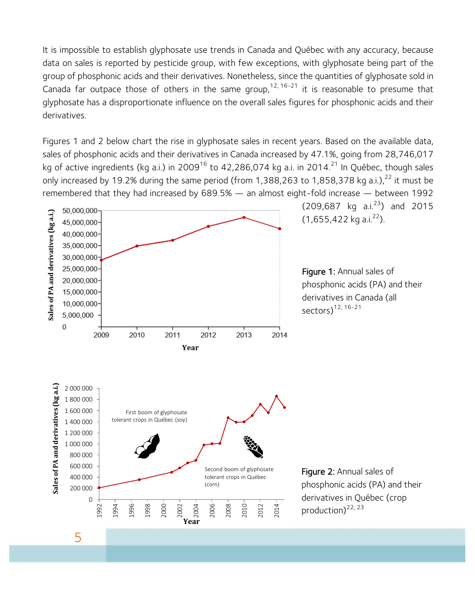It is impossible to establish glyphosate use trends in Canada and Québec with any accuracy, because data on sales is reported by pesticide group, with few exceptions, with glyphosate being part of the group of phosphonic acids and their derivatives. Nonetheless, since the quantities of glyphosate sold in Canada far outpace those of others in the same group,<sup>12, 16-21</sup> it is reasonable to presume that glyphosate has a disproportionate influence on the overall sales figures for phosphonic acids and their derivatives.

Figures 1 and 2 below chart the rise in glyphosate sales in recent years. Based on the available data, sales of phosphonic acids and their derivatives in Canada increased by 47.1%, going from 28,746,017 kg of active ingredients (kg a.i.) in 2009<sup>16</sup> to 42,286,074 kg a.i. in 2014.<sup>21</sup> In Québec, though sales only increased by 19.2% during the same period (from 1,388,263 to 1,858,378 kg a.i.), $^{22}$  it must be remembered that they had increased by 689.5% — an almost eight-fold increase — between 1992



 $(209, 687 \text{ kg a.}^{23})$  and 2015  $(1,655,422 \text{ kg a.}i.^{22})$ .

Figure 1: Annual sales of phosphonic acids (PA) and their derivatives in Canada (all sectors) $12, 16-21$ 

Figure 2: Annual sales of phosphonic acids (PA) and their derivatives in Québec (crop production) $^{22, 23}$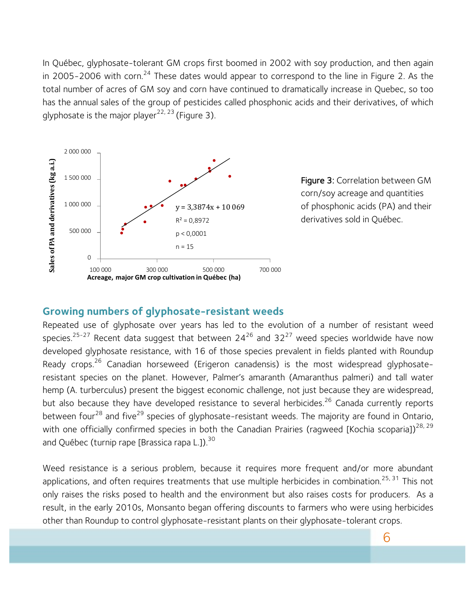In Québec, glyphosate-tolerant GM crops first boomed in 2002 with soy production, and then again in 2005-2006 with corn.<sup>24</sup> These dates would appear to correspond to the line in Figure 2. As the total number of acres of GM soy and corn have continued to dramatically increase in Quebec, so too has the annual sales of the group of pesticides called phosphonic acids and their derivatives, of which glyphosate is the major player<sup>22, 23</sup> (Figure 3).



Figure 3: Correlation between GM corn/soy acreage and quantities of phosphonic acids (PA) and their derivatives sold in Québec.

#### **Growing numbers of glyphosate-resistant weeds**

Repeated use of glyphosate over years has led to the evolution of a number of resistant weed species.<sup>25-27</sup> Recent data suggest that between 24<sup>26</sup> and 32<sup>27</sup> weed species worldwide have now developed glyphosate resistance, with 16 of those species prevalent in fields planted with Roundup Ready crops.<sup>26</sup> Canadian horseweed (Erigeron canadensis) is the most widespread glyphosateresistant species on the planet. However, Palmer's amaranth (Amaranthus palmeri) and tall water hemp (A. turberculus) present the biggest economic challenge, not just because they are widespread, but also because they have developed resistance to several herbicides.<sup>26</sup> Canada currently reports between four<sup>28</sup> and five<sup>29</sup> species of glyphosate-resistant weeds. The majority are found in Ontario, with one officially confirmed species in both the Canadian Prairies (ragweed [Kochia scoparia])<sup>28, 29</sup> and Québec (turnip rape [Brassica rapa L.]).<sup>30</sup>

Weed resistance is a serious problem, because it requires more frequent and/or more abundant applications, and often requires treatments that use multiple herbicides in combination.<sup>25, 31</sup> This not only raises the risks posed to health and the environment but also raises costs for producers. As a result, in the early 2010s, Monsanto began offering discounts to farmers who were using herbicides other than Roundup to control glyphosate-resistant plants on their glyphosate-tolerant crops.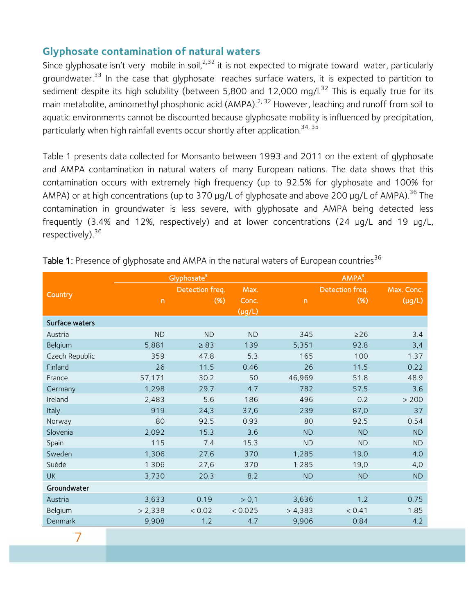## **Glyphosate contamination of natural waters**

Since glyphosate isn't very mobile in soil,  $2.32$  it is not expected to migrate toward water, particularly groundwater.<sup>33</sup> In the case that glyphosate reaches surface waters, it is expected to partition to sediment despite its high solubility (between 5,800 and 12,000 mg/l.<sup>32</sup> This is equally true for its main metabolite, aminomethyl phosphonic acid (AMPA).<sup>2, 32</sup> However, leaching and runoff from soil to aquatic environments cannot be discounted because glyphosate mobility is influenced by precipitation, particularly when high rainfall events occur shortly after application.<sup>34, 35</sup>

Table 1 presents data collected for Monsanto between 1993 and 2011 on the extent of glyphosate and AMPA contamination in natural waters of many European nations. The data shows that this contamination occurs with extremely high frequency (up to 92.5% for glyphosate and 100% for AMPA) or at high concentrations (up to 370 µg/L of glyphosate and above 200 µg/L of AMPA).<sup>36</sup> The contamination in groundwater is less severe, with glyphosate and AMPA being detected less frequently (3.4% and 12%, respectively) and at lower concentrations (24 µg/L and 19 µg/L, respectively).  $36$ 

|                |                | Glyphosate <sup>ª</sup> |             | AMPA <sup>a</sup> |                 |                        |  |
|----------------|----------------|-------------------------|-------------|-------------------|-----------------|------------------------|--|
| Country        |                | Detection freq.         | Max.        |                   | Detection freq. | Max. Conc.             |  |
|                | $\overline{n}$ | $(% )^{(1,1)}$          | Conc.       | $\mathsf{n}$      | (%)             | $\overline{(\mu g/L)}$ |  |
|                |                |                         | $(\mu g/L)$ |                   |                 |                        |  |
| Surface waters |                |                         |             |                   |                 |                        |  |
| Austria        | <b>ND</b>      | <b>ND</b>               | <b>ND</b>   | 345               | $\geq$ 26       | 3.4                    |  |
| Belgium        | 5,881          | $\geq 83$               | 139         | 5,351             | 92.8            | 3,4                    |  |
| Czech Republic | 359            | 47.8                    | 5.3         | 165               | 100             | 1.37                   |  |
| Finland        | 26             | 11.5                    | 0.46        | 26                | 11.5            | 0.22                   |  |
| France         | 57,171         | 30.2                    | 50          | 46,969            | 51.8            | 48.9                   |  |
| Germany        | 1,298          | 29.7                    | 4.7         | 782               | 57.5            | 3.6                    |  |
| Ireland        | 2,483          | 5.6                     | 186         | 496               | 0.2             | > 200                  |  |
| Italy          | 919            | 24,3                    | 37,6        | 239               | 87,0            | 37                     |  |
| Norway         | 80             | 92.5                    | 0.93        | 80                | 92.5            | 0.54                   |  |
| Slovenia       | 2,092          | 15.3                    | 3.6         | <b>ND</b>         | <b>ND</b>       | <b>ND</b>              |  |
| Spain          | 115            | 7.4                     | 15.3        | <b>ND</b>         | <b>ND</b>       | <b>ND</b>              |  |
| Sweden         | 1,306          | 27.6                    | 370         | 1,285             | 19.0            | 4.0                    |  |
| Suède          | 1 3 0 6        | 27,6                    | 370         | 1 2 8 5           | 19,0            | 4,0                    |  |
| <b>UK</b>      | 3,730          | 20.3                    | 8.2         | <b>ND</b>         | <b>ND</b>       | <b>ND</b>              |  |
| Groundwater    |                |                         |             |                   |                 |                        |  |
| Austria        | 3,633          | 0.19                    | > 0,1       | 3,636             | 1.2             | 0.75                   |  |
| Belgium        | > 2,338        | < 0.02                  | < 0.025     | > 4,383           | < 0.41          | 1.85                   |  |
| Denmark        | 9,908          | 1.2                     | 4.7         | 9,906             | 0.84            | 4.2                    |  |

Table 1: Presence of glyphosate and AMPA in the natural waters of European countries<sup>36</sup>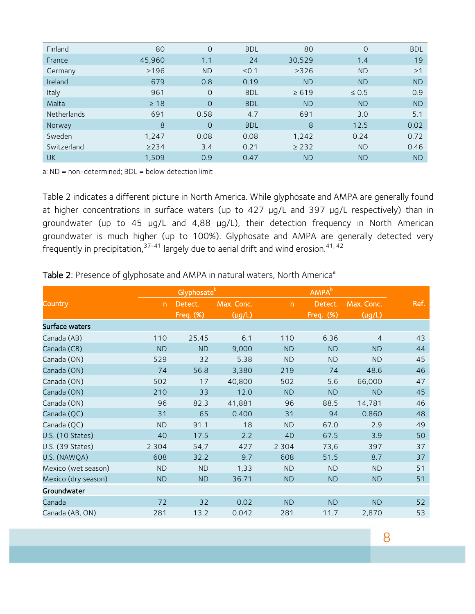| Finland     | 80         | $\Omega$       | <b>BDL</b> | 80         | $\Omega$   | <b>BDL</b> |
|-------------|------------|----------------|------------|------------|------------|------------|
| France      | 45,960     | 1.1            | 24         | 30,529     | 1.4        | 19         |
| Germany     | $\geq$ 196 | <b>ND</b>      | $\leq 0.1$ | >326       | <b>ND</b>  | $\geq$ 1   |
| Ireland     | 679        | 0.8            | 0.19       | <b>ND</b>  | <b>ND</b>  | <b>ND</b>  |
| Italy       | 961        | $\overline{O}$ | <b>BDL</b> | $\ge 619$  | $\leq 0.5$ | 0.9        |
| Malta       | $\geq 18$  | $\overline{O}$ | <b>BDL</b> | <b>ND</b>  | <b>ND</b>  | <b>ND</b>  |
| Netherlands | 691        | 0.58           | 4.7        | 691        | 3.0        | 5.1        |
| Norway      | 8          | $\Omega$       | <b>BDL</b> | 8          | 12.5       | 0.02       |
| Sweden      | 1,247      | 0.08           | 0.08       | 1,242      | 0.24       | 0.72       |
| Switzerland | >234       | 3.4            | 0.21       | $\geq$ 232 | <b>ND</b>  | 0.46       |
| <b>UK</b>   | 1,509      | 0.9            | 0.47       | <b>ND</b>  | <b>ND</b>  | <b>ND</b>  |

a: ND = non-determined; BDL = below detection limit

Table 2 indicates a different picture in North America. While glyphosate and AMPA are generally found at higher concentrations in surface waters (up to 427 µg/L and 397 µg/L respectively) than in groundwater (up to 45 µg/L and 4,88 µg/L), their detection frequency in North American groundwater is much higher (up to 100%). Glyphosate and AMPA are generally detected very frequently in precipitation,  $37-41$  largely due to aerial drift and wind erosion.  $41, 42$ 

#### Table 2: Presence of glyphosate and AMPA in natural waters, North America<sup>a</sup>

|                         |                | Glyphosate <sup>b</sup> |             |                          | AMPA <sup>b</sup> |                |      |
|-------------------------|----------------|-------------------------|-------------|--------------------------|-------------------|----------------|------|
| Country                 | $\overline{D}$ | Detect.                 | Max. Conc.  | $\overline{\phantom{a}}$ | Detect.           | Max. Conc.     | Ref. |
|                         |                | <b>Freq. (%)</b>        | $(\mu g/L)$ |                          | Freq. $(*)$       | $(\mu g/L)$    |      |
| Surface waters          |                |                         |             |                          |                   |                |      |
| Canada (AB)             | 110            | 25.45                   | 6.1         | 110                      | 6.36              | $\overline{4}$ | 43   |
| Canada (CB)             | <b>ND</b>      | ND                      | 9,000       | <b>ND</b>                | <b>ND</b>         | <b>ND</b>      | 44   |
| Canada (ON)             | 529            | 32                      | 5.38        | <b>ND</b>                | <b>ND</b>         | <b>ND</b>      | 45   |
| Canada (ON)             | 74             | 56.8                    | 3,380       | 219                      | 74                | 48.6           | 46   |
| Canada (ON)             | 502            | 17                      | 40,800      | 502                      | 5.6               | 66,000         | 47   |
| Canada (ON)             | 210            | 33                      | 12.0        | <b>ND</b>                | <b>ND</b>         | <b>ND</b>      | 45   |
| Canada (ON)             | 96             | 82.3                    | 41,881      | 96                       | 88.5              | 14,781         | 46   |
| Canada (QC)             | 31             | 65                      | 0.400       | 31                       | 94                | 0.860          | 48   |
| Canada (QC)             | <b>ND</b>      | 91.1                    | 18          | <b>ND</b>                | 67.0              | 2.9            | 49   |
| <b>U.S. (10 States)</b> | 40             | 17.5                    | 2.2         | 40                       | 67.5              | 3.9            | 50   |
| U.S. (39 States)        | 2 3 0 4        | 54,7                    | 427         | 2 3 0 4                  | 73,6              | 397            | 37   |
| U.S. (NAWQA)            | 608            | 32.2                    | 9.7         | 608                      | 51.5              | 8.7            | 37   |
| Mexico (wet season)     | <b>ND</b>      | ND                      | 1,33        | <b>ND</b>                | <b>ND</b>         | <b>ND</b>      | 51   |
| Mexico (dry season)     | ND             | ND                      | 36.71       | <b>ND</b>                | ND                | <b>ND</b>      | 51   |
| Groundwater             |                |                         |             |                          |                   |                |      |
| Canada                  | 72             | 32                      | 0.02        | <b>ND</b>                | <b>ND</b>         | <b>ND</b>      | 52   |
| Canada (AB, ON)         | 281            | 13.2                    | 0.042       | 281                      | 11.7              | 2,870          | 53   |
|                         |                |                         |             |                          |                   |                |      |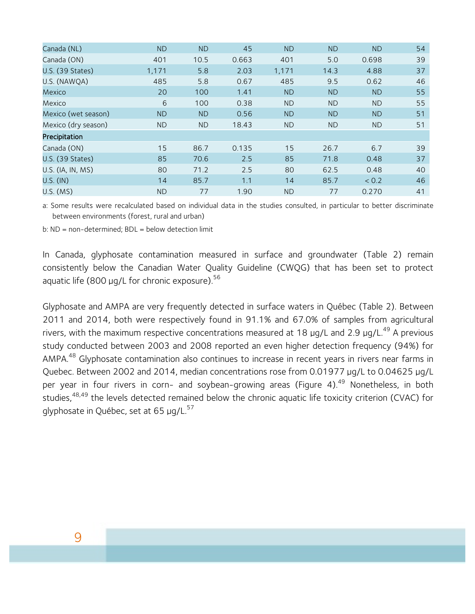| Canada (NL)             | <b>ND</b> | <b>ND</b> | 45    | <b>ND</b> | <b>ND</b> | <b>ND</b> | 54 |
|-------------------------|-----------|-----------|-------|-----------|-----------|-----------|----|
| Canada (ON)             | 401       | 10.5      | 0.663 | 401       | 5.0       | 0.698     | 39 |
| <b>U.S. (39 States)</b> | 1,171     | 5.8       | 2.03  | 1,171     | 14.3      | 4.88      | 37 |
| U.S. (NAWQA)            | 485       | 5.8       | 0.67  | 485       | 9.5       | 0.62      | 46 |
| Mexico                  | 20        | 100       | 1.41  | <b>ND</b> | ND.       | <b>ND</b> | 55 |
| Mexico                  | 6         | 100       | 0.38  | <b>ND</b> | ND.       | <b>ND</b> | 55 |
| Mexico (wet season)     | <b>ND</b> | ND.       | 0.56  | <b>ND</b> | ND.       | <b>ND</b> | 51 |
| Mexico (dry season)     | <b>ND</b> | ND.       | 18.43 | <b>ND</b> | ND.       | <b>ND</b> | 51 |
| Precipitation           |           |           |       |           |           |           |    |
| Canada (ON)             | 15        | 86.7      | 0.135 | 15        | 26.7      | 6.7       | 39 |
| U.S. (39 States)        | 85        | 70.6      | 2.5   | 85        | 71.8      | 0.48      | 37 |
| U.S. (IA, IN, MS)       | 80        | 71.2      | 2.5   | 80        | 62.5      | 0.48      | 40 |
| U.S. (IN)               | 14        | 85.7      | 1.1   | 14        | 85.7      | < 0.2     | 46 |
| $U.S.$ (MS)             | <b>ND</b> | 77        | 1.90  | <b>ND</b> | 77        | 0.270     | 41 |

a: Some results were recalculated based on individual data in the studies consulted, in particular to better discriminate between environments (forest, rural and urban)

b: ND = non-determined; BDL = below detection limit

In Canada, glyphosate contamination measured in surface and groundwater (Table 2) remain consistently below the Canadian Water Quality Guideline (CWQG) that has been set to protect aquatic life (800  $\mu$ q/L for chronic exposure).<sup>56</sup>

Glyphosate and AMPA are very frequently detected in surface waters in Québec (Table 2). Between 2011 and 2014, both were respectively found in 91.1% and 67.0% of samples from agricultural rivers, with the maximum respective concentrations measured at 18  $\mu$ q/L and 2.9  $\mu$ q/L.<sup>49</sup> A previous study conducted between 2003 and 2008 reported an even higher detection frequency (94%) for AMPA.<sup>48</sup> Glyphosate contamination also continues to increase in recent years in rivers near farms in Quebec. Between 2002 and 2014, median concentrations rose from 0.01977 µg/L to 0.04625 µg/L per year in four rivers in corn- and soybean-growing areas (Figure 4).<sup>49</sup> Nonetheless, in both studies,<sup>48,49</sup> the levels detected remained below the chronic aquatic life toxicity criterion (CVAC) for glyphosate in Québec, set at 65  $\mu q/L^{57}$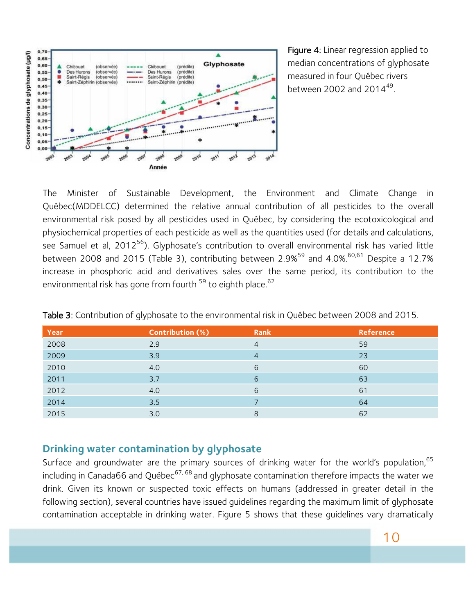

Figure 4: Linear regression applied to median concentrations of glyphosate measured in four Québec rivers between 2002 and 2014 $49$ .

The Minister of Sustainable Development, the Environment and Climate Change in Québec(MDDELCC) determined the relative annual contribution of all pesticides to the overall environmental risk posed by all pesticides used in Québec, by considering the ecotoxicological and physiochemical properties of each pesticide as well as the quantities used (for details and calculations, see Samuel et al,  $2012^{56}$ ). Glyphosate's contribution to overall environmental risk has varied little between 2008 and 2015 (Table 3), contributing between 2.9%<sup>59</sup> and 4.0%.<sup>60,61</sup> Despite a 12.7% increase in phosphoric acid and derivatives sales over the same period, its contribution to the environmental risk has gone from fourth <sup>59</sup> to eighth place.<sup>62</sup>

| Year | <b>Contribution (%)</b> | <b>Rank</b> | <b>Reference</b> |
|------|-------------------------|-------------|------------------|
| 2008 | 2.9                     | 4           | 59               |
| 2009 | 3.9                     | 4           | 23               |
| 2010 | 4.0                     | 6           | 60               |
| 2011 | 3.7                     | 6           | 63               |
| 2012 | 4.0                     | 6           | 61               |
| 2014 | 3.5                     |             | 64               |
| 2015 | 3.0                     | 8           | 62               |

Table 3: Contribution of glyphosate to the environmental risk in Québec between 2008 and 2015.

### **Drinking water contamination by glyphosate**

Surface and groundwater are the primary sources of drinking water for the world's population, 65 including in Canada66 and Québec<sup>67, 68</sup> and glyphosate contamination therefore impacts the water we drink. Given its known or suspected toxic effects on humans (addressed in greater detail in the following section), several countries have issued guidelines regarding the maximum limit of glyphosate contamination acceptable in drinking water. Figure 5 shows that these guidelines vary dramatically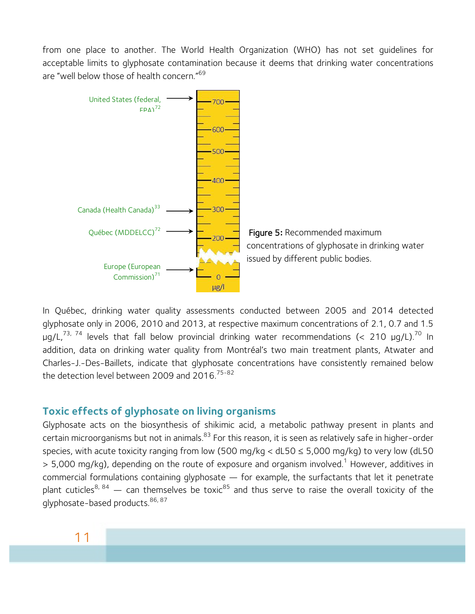from one place to another. The World Health Organization (WHO) has not set guidelines for acceptable limits to glyphosate contamination because it deems that drinking water concentrations are "well below those of health concern."<sup>69</sup>



In Québec, drinking water quality assessments conducted between 2005 and 2014 detected glyphosate only in 2006, 2010 and 2013, at respective maximum concentrations of 2.1, 0.7 and 1.5  $\mu$ g/L,<sup>73, 74</sup> levels that fall below provincial drinking water recommendations (< 210  $\mu$ g/L).<sup>70</sup> In addition, data on drinking water quality from Montréal's two main treatment plants, Atwater and Charles-J.-Des-Baillets, indicate that glyphosate concentrations have consistently remained below the detection level between 2009 and 2016.<sup>75-82</sup>

### **Toxic effects of glyphosate on living organisms**

Glyphosate acts on the biosynthesis of shikimic acid, a metabolic pathway present in plants and certain microorganisms but not in animals.<sup>83</sup> For this reason, it is seen as relatively safe in higher-order species, with acute toxicity ranging from low (500 mg/kg <  $dL50 \le 5,000$  mg/kg) to very low ( $dL50$  $>$  5,000 mg/kg), depending on the route of exposure and organism involved.<sup>1</sup> However, additives in commercial formulations containing glyphosate — for example, the surfactants that let it penetrate plant cuticles<sup>8, 84</sup> — can themselves be toxic<sup>85</sup> and thus serve to raise the overall toxicity of the glyphosate-based products. 86, 87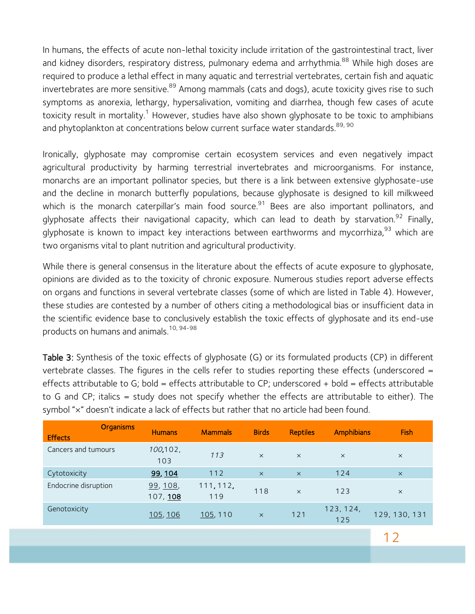In humans, the effects of acute non-lethal toxicity include irritation of the gastrointestinal tract, liver and kidney disorders, respiratory distress, pulmonary edema and arrhythmia.<sup>88</sup> While high doses are required to produce a lethal effect in many aquatic and terrestrial vertebrates, certain fish and aquatic invertebrates are more sensitive.<sup>89</sup> Among mammals (cats and dogs), acute toxicity gives rise to such symptoms as anorexia, lethargy, hypersalivation, vomiting and diarrhea, though few cases of acute toxicity result in mortality.<sup>1</sup> However, studies have also shown glyphosate to be toxic to amphibians and phytoplankton at concentrations below current surface water standards.<sup>89, 90</sup>

Ironically, glyphosate may compromise certain ecosystem services and even negatively impact agricultural productivity by harming terrestrial invertebrates and microorganisms. For instance, monarchs are an important pollinator species, but there is a link between extensive glyphosate-use and the decline in monarch butterfly populations, because glyphosate is designed to kill milkweed which is the monarch caterpillar's main food source.<sup>91</sup> Bees are also important pollinators, and glyphosate affects their navigational capacity, which can lead to death by starvation.<sup>92</sup> Finally, glyphosate is known to impact key interactions between earthworms and mycorrhiza,<sup>93</sup> which are two organisms vital to plant nutrition and agricultural productivity.

While there is general consensus in the literature about the effects of acute exposure to glyphosate, opinions are divided as to the toxicity of chronic exposure. Numerous studies report adverse effects on organs and functions in several vertebrate classes (some of which are listed in Table 4). However, these studies are contested by a number of others citing a methodological bias or insufficient data in the scientific evidence base to conclusively establish the toxic effects of glyphosate and its end-use products on humans and animals.10, 94-98

Table 3: Synthesis of the toxic effects of glyphosate (G) or its formulated products (CP) in different vertebrate classes. The figures in the cells refer to studies reporting these effects (underscored = effects attributable to G; bold = effects attributable to CP; underscored + bold = effects attributable to G and CP; italics = study does not specify whether the effects are attributable to either). The symbol "x" doesn't indicate a lack of effects but rather that no article had been found.

| <b>Organisms</b><br><b>Effects</b> | <b>Humans</b>       | <b>Mammals</b>   | <b>Birds</b> | <b>Reptiles</b> | <b>Amphibians</b> | <b>Fish</b>   |
|------------------------------------|---------------------|------------------|--------------|-----------------|-------------------|---------------|
| Cancers and tumours                | 100,102,<br>103     | 113              | $\times$     | $\times$        | $\times$          | $\times$      |
| Cytotoxicity                       | 99, 104             | 112              | $\times$     | $\times$        | $124$             | $\times$      |
| Endocrine disruption               | 99, 108<br>107, 108 | 111, 112,<br>119 | 118          | $\times$        | 123               | $\times$      |
| Genotoxicity                       | <u>105, 106</u>     | 105, 110         | $\times$     | 121             | 123, 124,<br>125  | 129, 130, 131 |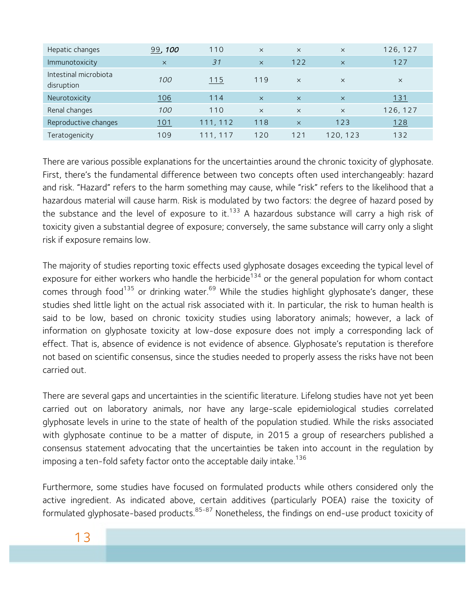| Hepatic changes                     | 99,100   | 110      | $\times$ | $\times$ | $\times$ | 126, 127    |
|-------------------------------------|----------|----------|----------|----------|----------|-------------|
| Immunotoxicity                      | $\times$ | 31       | $\times$ | 122      | $\times$ | 127         |
| Intestinal microbiota<br>disruption | 100      | 115      | 119      | $\times$ | $\times$ | $\times$    |
| Neurotoxicity                       | 106      | 114      | $\times$ | $\times$ | $\times$ | <u> 131</u> |
| Renal changes                       | 100      | 110      | $\times$ | $\times$ | $\times$ | 126, 127    |
| Reproductive changes                | 101      | 111, 112 | 118      | $\times$ | 123      | 128         |
| Teratogenicity                      | 109      | 111.117  | 120      | 121      | 120, 123 | 132         |

There are various possible explanations for the uncertainties around the chronic toxicity of glyphosate. First, there's the fundamental difference between two concepts often used interchangeably: hazard and risk. "Hazard" refers to the harm something may cause, while "risk" refers to the likelihood that a hazardous material will cause harm. Risk is modulated by two factors: the degree of hazard posed by the substance and the level of exposure to it.<sup>133</sup> A hazardous substance will carry a high risk of toxicity given a substantial degree of exposure; conversely, the same substance will carry only a slight risk if exposure remains low.

The majority of studies reporting toxic effects used glyphosate dosages exceeding the typical level of exposure for either workers who handle the herbicide<sup>134</sup> or the general population for whom contact comes through food<sup>135</sup> or drinking water.<sup>69</sup> While the studies highlight glyphosate's danger, these studies shed little light on the actual risk associated with it. In particular, the risk to human health is said to be low, based on chronic toxicity studies using laboratory animals; however, a lack of information on glyphosate toxicity at low-dose exposure does not imply a corresponding lack of effect. That is, absence of evidence is not evidence of absence. Glyphosate's reputation is therefore not based on scientific consensus, since the studies needed to properly assess the risks have not been carried out.

There are several gaps and uncertainties in the scientific literature. Lifelong studies have not yet been carried out on laboratory animals, nor have any large-scale epidemiological studies correlated glyphosate levels in urine to the state of health of the population studied. While the risks associated with glyphosate continue to be a matter of dispute, in 2015 a group of researchers published a consensus statement advocating that the uncertainties be taken into account in the regulation by imposing a ten-fold safety factor onto the acceptable daily intake.<sup>136</sup>

Furthermore, some studies have focused on formulated products while others considered only the active ingredient. As indicated above, certain additives (particularly POEA) raise the toxicity of formulated glyphosate-based products.<sup>85-87</sup> Nonetheless, the findings on end-use product toxicity of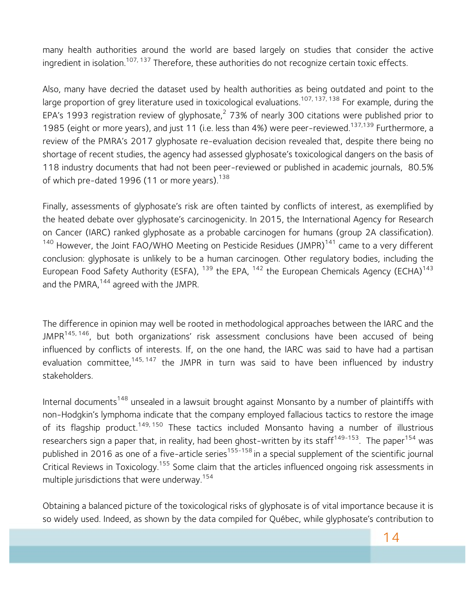many health authorities around the world are based largely on studies that consider the active ingredient in isolation.<sup>107, 137</sup> Therefore, these authorities do not recognize certain toxic effects.

Also, many have decried the dataset used by health authorities as being outdated and point to the large proportion of grey literature used in toxicological evaluations.<sup>107, 137, 138</sup> For example, during the EPA's 1993 registration review of glyphosate,<sup>2</sup> 73% of nearly 300 citations were published prior to 1985 (eight or more years), and just 11 (i.e. less than 4%) were peer-reviewed.<sup>137,139</sup> Furthermore, a review of the PMRA's 2017 glyphosate re-evaluation decision revealed that, despite there being no shortage of recent studies, the agency had assessed glyphosate's toxicological dangers on the basis of 118 industry documents that had not been peer-reviewed or published in academic journals, 80.5% of which pre-dated 1996 (11 or more years).<sup>138</sup>

Finally, assessments of glyphosate's risk are often tainted by conflicts of interest, as exemplified by the heated debate over glyphosate's carcinogenicity. In 2015, the International Agency for Research on Cancer (IARC) ranked glyphosate as a probable carcinogen for humans (group 2A classification).  $140$  However, the Joint FAO/WHO Meeting on Pesticide Residues (JMPR) $141$  came to a very different conclusion: glyphosate is unlikely to be a human carcinogen. Other regulatory bodies, including the European Food Safety Authority (ESFA),  $^{139}$  the EPA,  $^{142}$  the European Chemicals Agency (ECHA)<sup>143</sup> and the PMRA,<sup>144</sup> agreed with the JMPR.

The difference in opinion may well be rooted in methodological approaches between the IARC and the JMPR<sup>145, 146</sup>, but both organizations' risk assessment conclusions have been accused of being influenced by conflicts of interests. If, on the one hand, the IARC was said to have had a partisan evaluation committee,  $145, 147$  the JMPR in turn was said to have been influenced by industry stakeholders.

Internal documents<sup>148</sup> unsealed in a lawsuit brought against Monsanto by a number of plaintiffs with non-Hodgkin's lymphoma indicate that the company employed fallacious tactics to restore the image of its flagship product.<sup>149, 150</sup> These tactics included Monsanto having a number of illustrious researchers sign a paper that, in reality, had been ghost-written by its staff<sup>149-153</sup>. The paper<sup>154</sup> was published in 2016 as one of a five-article series<sup>155-158</sup> in a special supplement of the scientific journal Critical Reviews in Toxicology.<sup>155</sup> Some claim that the articles influenced ongoing risk assessments in multiple jurisdictions that were underway.<sup>154</sup>

Obtaining a balanced picture of the toxicological risks of glyphosate is of vital importance because it is so widely used. Indeed, as shown by the data compiled for Québec, while glyphosate's contribution to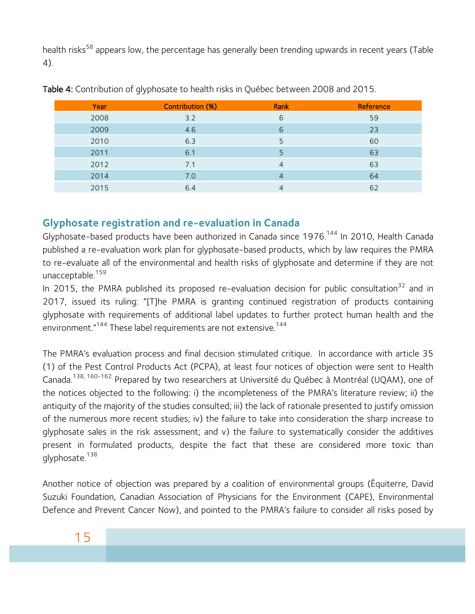health risks<sup>58</sup> appears low, the percentage has generally been trending upwards in recent years (Table 4).

| Year | <b>Contribution (%)</b> | Rank | Reference |
|------|-------------------------|------|-----------|
| 2008 | 3.2                     | 6    | 59        |
| 2009 | 4.6                     | 6    | 23        |
| 2010 | 6.3                     | 5    | 60        |
| 2011 | 6.1                     | 5    | 63        |
| 2012 | 7.1                     | 4    | 63        |
| 2014 | 7.0                     | 4    | 64        |
| 2015 | 6.4                     | 4    | 62        |

Table 4: Contribution of glyphosate to health risks in Québec between 2008 and 2015.

## **Glyphosate registration and re-evaluation in Canada**

Glyphosate-based products have been authorized in Canada since 1976.<sup>144</sup> In 2010, Health Canada published a re-evaluation work plan for glyphosate-based products, which by law requires the PMRA to re-evaluate all of the environmental and health risks of glyphosate and determine if they are not unacceptable.<sup>159</sup>

In 2015, the PMRA published its proposed re-evaluation decision for public consultation<sup>32</sup> and in 2017, issued its ruling: "[T]he PMRA is granting continued registration of products containing glyphosate with requirements of additional label updates to further protect human health and the environment."<sup>144</sup> These label requirements are not extensive.<sup>144</sup>

The PMRA's evaluation process and final decision stimulated critique. In accordance with article 35 (1) of the Pest Control Products Act (PCPA), at least four notices of objection were sent to Health Canada.138, 160-162 Prepared by two researchers at Université du Québec à Montréal (UQAM), one of the notices objected to the following: i) the incompleteness of the PMRA's literature review; ii) the antiquity of the majority of the studies consulted; iii) the lack of rationale presented to justify omission of the numerous more recent studies; iv) the failure to take into consideration the sharp increase to glyphosate sales in the risk assessment; and v) the failure to systematically consider the additives present in formulated products, despite the fact that these are considered more toxic than glyphosate.<sup>138</sup>

Another notice of objection was prepared by a coalition of environmental groups (Équiterre, David Suzuki Foundation, Canadian Association of Physicians for the Environment (CAPE), Environmental Defence and Prevent Cancer Now), and pointed to the PMRA's failure to consider all risks posed by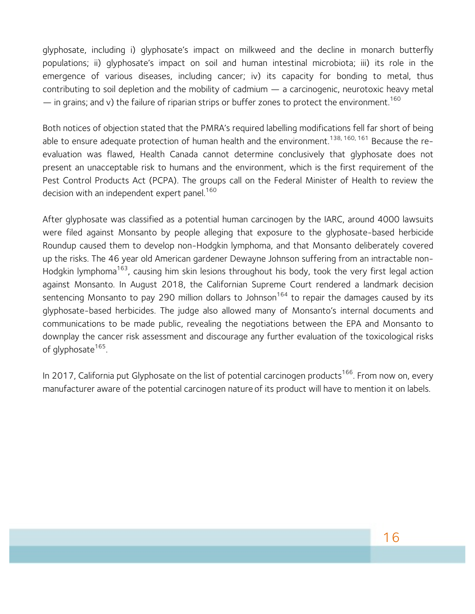glyphosate, including i) glyphosate's impact on milkweed and the decline in monarch butterfly populations; ii) glyphosate's impact on soil and human intestinal microbiota; iii) its role in the emergence of various diseases, including cancer; iv) its capacity for bonding to metal, thus contributing to soil depletion and the mobility of cadmium — a carcinogenic, neurotoxic heavy metal  $-$  in grains; and v) the failure of riparian strips or buffer zones to protect the environment.<sup>160</sup>

Both notices of objection stated that the PMRA's required labelling modifications fell far short of being able to ensure adequate protection of human health and the environment.<sup>138, 160, 161</sup> Because the reevaluation was flawed, Health Canada cannot determine conclusively that glyphosate does not present an unacceptable risk to humans and the environment, which is the first requirement of the Pest Control Products Act (PCPA). The groups call on the Federal Minister of Health to review the decision with an independent expert panel.<sup>160</sup>

After glyphosate was classified as a potential human carcinogen by the IARC, around 4000 lawsuits were filed against Monsanto by people alleging that exposure to the glyphosate-based herbicide Roundup caused them to develop non-Hodgkin lymphoma, and that Monsanto deliberately covered up the risks. The 46 year old American gardener Dewayne Johnson suffering from an intractable non-Hodgkin lymphoma<sup>163</sup>, causing him skin lesions throughout his body, took the very first legal action against Monsanto. In August 2018, the Californian Supreme Court rendered a landmark decision sentencing Monsanto to pay 290 million dollars to Johnson<sup>164</sup> to repair the damages caused by its glyphosate-based herbicides. The judge also allowed many of Monsanto's internal documents and communications to be made public, revealing the negotiations between the EPA and Monsanto to downplay the cancer risk assessment and discourage any further evaluation of the toxicological risks of glyphosate<sup>165</sup>.

In 2017, California put Glyphosate on the list of potential carcinogen products<sup>166</sup>. From now on, every manufacturer aware of the potential carcinogen nature of its product will have to mention it on labels.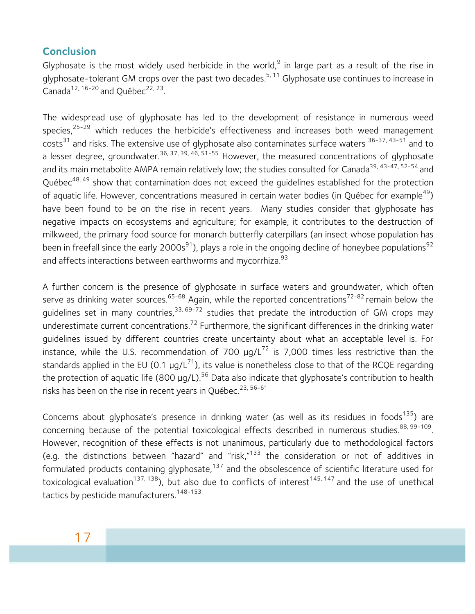## **Conclusion**

Glyphosate is the most widely used herbicide in the world,<sup>9</sup> in large part as a result of the rise in glyphosate-tolerant GM crops over the past two decades.<sup>5, 11</sup> Glyphosate use continues to increase in Canada<sup>12, 16-20</sup> and Ouébec<sup>22, 23</sup>.

The widespread use of glyphosate has led to the development of resistance in numerous weed species, $25-29$  which reduces the herbicide's effectiveness and increases both weed management costs<sup>31</sup> and risks. The extensive use of glyphosate also contaminates surface waters <sup>36-37, 43-51</sup> and to a lesser degree, groundwater.<sup>36, 37, 39, 46, 51-55</sup> However, the measured concentrations of glyphosate and its main metabolite AMPA remain relatively low; the studies consulted for Canada<sup>39, 43-47, 52-54</sup> and Québec<sup>48, 49</sup> show that contamination does not exceed the quidelines established for the protection of aquatic life. However, concentrations measured in certain water bodies (in Québec for example<sup>49</sup>) have been found to be on the rise in recent years. Many studies consider that glyphosate has negative impacts on ecosystems and agriculture; for example, it contributes to the destruction of milkweed, the primary food source for monarch butterfly caterpillars (an insect whose population has been in freefall since the early 2000s<sup>91</sup>), plays a role in the ongoing decline of honeybee populations<sup>92</sup> and affects interactions between earthworms and mycorrhiza.<sup>93</sup>

A further concern is the presence of glyphosate in surface waters and groundwater, which often serve as drinking water sources.<sup>65-68</sup> Again, while the reported concentrations<sup>72-82</sup> remain below the guidelines set in many countries,<sup>33, 69-72</sup> studies that predate the introduction of GM crops may underestimate current concentrations.<sup>72</sup> Furthermore, the significant differences in the drinking water guidelines issued by different countries create uncertainty about what an acceptable level is. For instance, while the U.S. recommendation of 700  $\mu g/L^{72}$  is 7,000 times less restrictive than the standards applied in the EU (0.1  $\mu q/L^{71}$ ), its value is nonetheless close to that of the RCQE regarding the protection of aquatic life (800  $\mu$ q/L).<sup>56</sup> Data also indicate that glyphosate's contribution to health risks has been on the rise in recent years in Québec.<sup>23, 56-61</sup>

Concerns about glyphosate's presence in drinking water (as well as its residues in foods<sup>135</sup>) are concerning because of the potential toxicological effects described in numerous studies.<sup>88, 99-109</sup>. However, recognition of these effects is not unanimous, particularly due to methodological factors (e.g. the distinctions between "hazard" and "risk," $133$  the consideration or not of additives in formulated products containing glyphosate, $137$  and the obsolescence of scientific literature used for toxicological evaluation<sup>137, 138</sup>), but also due to conflicts of interest<sup>145, 147</sup> and the use of unethical tactics by pesticide manufacturers.<sup>148-153</sup>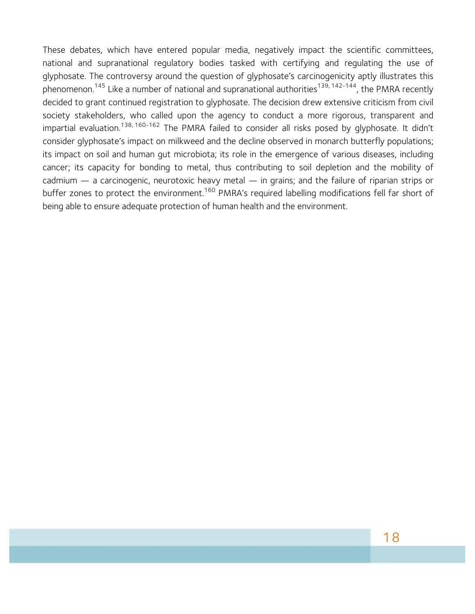These debates, which have entered popular media, negatively impact the scientific committees, national and supranational regulatory bodies tasked with certifying and regulating the use of glyphosate. The controversy around the question of glyphosate's carcinogenicity aptly illustrates this phenomenon.<sup>145</sup> Like a number of national and supranational authorities<sup>139, 142-144</sup>, the PMRA recently decided to grant continued registration to glyphosate. The decision drew extensive criticism from civil society stakeholders, who called upon the agency to conduct a more rigorous, transparent and impartial evaluation.<sup>138, 160-162</sup> The PMRA failed to consider all risks posed by glyphosate. It didn't consider glyphosate's impact on milkweed and the decline observed in monarch butterfly populations; its impact on soil and human gut microbiota; its role in the emergence of various diseases, including cancer; its capacity for bonding to metal, thus contributing to soil depletion and the mobility of cadmium — a carcinogenic, neurotoxic heavy metal — in grains; and the failure of riparian strips or buffer zones to protect the environment.<sup>160</sup> PMRA's required labelling modifications fell far short of being able to ensure adequate protection of human health and the environment.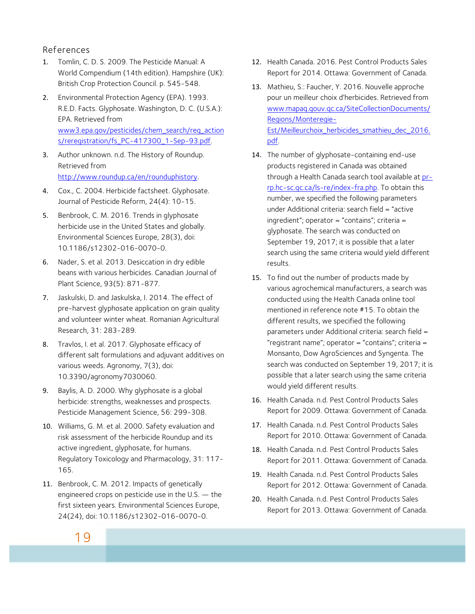#### References

- 1. Tomlin, C. D. S. 2009. The Pesticide Manual: A World Compendium (14th edition). Hampshire (UK): British Crop Protection Council. p. 545-548.
- 2. Environmental Protection Agency (EPA). 1993. R.E.D. Facts. Glyphosate. Washington, D. C. (U.S.A.): EPA. Retrieved from www3.epa.gov/pesticides/chem\_search/reg\_action s/reregistration/fs\_PC-417300\_1-Sep-93.pdf.
- 3. Author unknown. n.d. The History of Roundup. Retrieved from http://www.roundup.ca/en/rounduphistory.
- 4. Cox., C. 2004. Herbicide factsheet. Glyphosate. Journal of Pesticide Reform, 24(4): 10-15.
- 5. Benbrook, C. M. 2016. Trends in glyphosate herbicide use in the United States and globally. Environmental Sciences Europe, 28(3), doi: 10.1186/s12302-016-0070-0.
- 6. Nader, S. et al. 2013. Desiccation in dry edible beans with various herbicides. Canadian Journal of Plant Science, 93(5): 871-877.
- 7. Jaskulski, D. and Jaskulska, I. 2014. The effect of pre-harvest glyphosate application on grain quality and volunteer winter wheat. Romanian Agricultural Research, 31: 283-289.
- 8. Travlos, I. et al. 2017. Glyphosate efficacy of different salt formulations and adjuvant additives on various weeds. Agronomy, 7(3), doi: 10.3390/agronomy7030060.
- 9. Baylis, A. D. 2000. Why glyphosate is a global herbicide: strengths, weaknesses and prospects. Pesticide Management Science, 56: 299-308.
- 10. Williams, G. M. et al. 2000. Safety evaluation and risk assessment of the herbicide Roundup and its active ingredient, glyphosate, for humans. Regulatory Toxicology and Pharmacology, 31: 117- 165.
- 11. Benbrook, C. M. 2012. Impacts of genetically engineered crops on pesticide use in the U.S. — the first sixteen years. Environmental Sciences Europe, 24(24), doi: 10.1186/s12302-016-0070-0.
- 12. Health Canada. 2016. Pest Control Products Sales Report for 2014. Ottawa: Government of Canada.
- 13. Mathieu, S.: Faucher, Y. 2016. Nouvelle approche pour un meilleur choix d'herbicides. Retrieved from www.mapaq.gouv.qc.ca/SiteCollectionDocuments/ Regions/Monteregie-Est/Meilleurchoix herbicides smathieu dec 2016. pdf.
- 14. The number of glyphosate-containing end-use products registered in Canada was obtained through a Health Canada search tool available at prrp.hc-sc.gc.ca/ls-re/index-fra.php. To obtain this number, we specified the following parameters under Additional criteria: search field = "active ingredient"; operator = "contains"; criteria = glyphosate. The search was conducted on September 19, 2017; it is possible that a later search using the same criteria would yield different results.
- 15. To find out the number of products made by various agrochemical manufacturers, a search was conducted using the Health Canada online tool mentioned in reference note #15. To obtain the different results, we specified the following parameters under Additional criteria: search field = "registrant name"; operator = "contains"; criteria = Monsanto, Dow AgroSciences and Syngenta. The search was conducted on September 19, 2017; it is possible that a later search using the same criteria would yield different results.
- 16. Health Canada. n.d. Pest Control Products Sales Report for 2009. Ottawa: Government of Canada.
- 17. Health Canada. n.d. Pest Control Products Sales Report for 2010. Ottawa: Government of Canada.
- 18. Health Canada. n.d. Pest Control Products Sales Report for 2011. Ottawa: Government of Canada.
- 19. Health Canada. n.d. Pest Control Products Sales Report for 2012. Ottawa: Government of Canada.
- 20. Health Canada. n.d. Pest Control Products Sales Report for 2013. Ottawa: Government of Canada.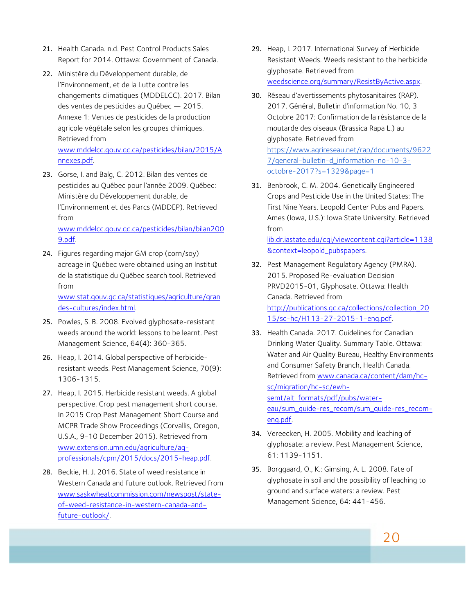- 21. Health Canada. n.d. Pest Control Products Sales Report for 2014. Ottawa: Government of Canada.
- 22. Ministère du Développement durable, de l'Environnement, et de la Lutte contre les changements climatiques (MDDELCC). 2017. Bilan des ventes de pesticides au Québec — 2015. Annexe 1: Ventes de pesticides de la production agricole végétale selon les groupes chimiques. Retrieved from

www.mddelcc.gouv.qc.ca/pesticides/bilan/2015/A nnexes.pdf.

23. Gorse, I. and Balg, C. 2012. Bilan des ventes de pesticides au Québec pour l'année 2009. Québec: Ministère du Développement durable, de l'Environnement et des Parcs (MDDEP). Retrieved from www.mddelcc.gouv.qc.ca/pesticides/bilan/bilan200

9.pdf.

24. Figures regarding major GM crop (corn/soy) acreage in Québec were obtained using an Institut de la statistique du Québec search tool. Retrieved from www.stat.gouv.qc.ca/statistiques/agriculture/gran des-cultures/index.html.

25. Powles, S. B. 2008. Evolved glyphosate-resistant weeds around the world: lessons to be learnt. Pest Management Science, 64(4): 360-365.

- 26. Heap, I. 2014. Global perspective of herbicideresistant weeds. Pest Management Science, 70(9): 1306-1315.
- 27. Heap, I. 2015. Herbicide resistant weeds. A global perspective. Crop pest management short course. In 2015 Crop Pest Management Short Course and MCPR Trade Show Proceedings (Corvallis, Oregon, U.S.A., 9-10 December 2015). Retrieved from www.extension.umn.edu/agriculture/agprofessionals/cpm/2015/docs/2015-heap.pdf.
- 28. Beckie, H. J. 2016. State of weed resistance in Western Canada and future outlook. Retrieved from www.saskwheatcommission.com/newspost/stateof-weed-resistance-in-western-canada-andfuture-outlook/.
- 29. Heap, I. 2017. International Survey of Herbicide Resistant Weeds. Weeds resistant to the herbicide glyphosate. Retrieved from weedscience.org/summary/ResistByActive.aspx.
- 30. Réseau d'avertissements phytosanitaires (RAP). 2017. Général, Bulletin d'information No. 10, 3 Octobre 2017: Confirmation de la résistance de la moutarde des oiseaux (Brassica Rapa L.) au glyphosate. Retrieved from https://www.agrireseau.net/rap/documents/9622 7/general-bulletin-d\_information-no-10-3 octobre-2017?s=1329&page=1
- 31. Benbrook, C. M. 2004. Genetically Engineered Crops and Pesticide Use in the United States: The First Nine Years. Leopold Center Pubs and Papers. Ames (Iowa, U.S.): Iowa State University. Retrieved from

lib.dr.iastate.edu/cgi/viewcontent.cgi?article=1138 &context=leopold\_pubspapers.

- 32. Pest Management Regulatory Agency (PMRA). 2015. Proposed Re-evaluation Decision PRVD2015-01, Glyphosate. Ottawa: Health Canada. Retrieved from http://publications.gc.ca/collections/collection\_20 15/sc-hc/H113-27-2015-1-eng.pdf.
- 33. Health Canada. 2017. Guidelines for Canadian Drinking Water Quality. Summary Table. Ottawa: Water and Air Quality Bureau, Healthy Environments and Consumer Safety Branch, Health Canada. Retrieved from www.canada.ca/content/dam/hcsc/migration/hc-sc/ewhsemt/alt\_formats/pdf/pubs/watereau/sum\_guide-res\_recom/sum\_guide-res\_recomeng.pdf.
- 34. Vereecken, H. 2005. Mobility and leaching of glyphosate: a review. Pest Management Science, 61: 1139-1151.
- 35. Borggaard, O., K.: Gimsing, A. L. 2008. Fate of glyphosate in soil and the possibility of leaching to ground and surface waters: a review. Pest Management Science, 64: 441-456.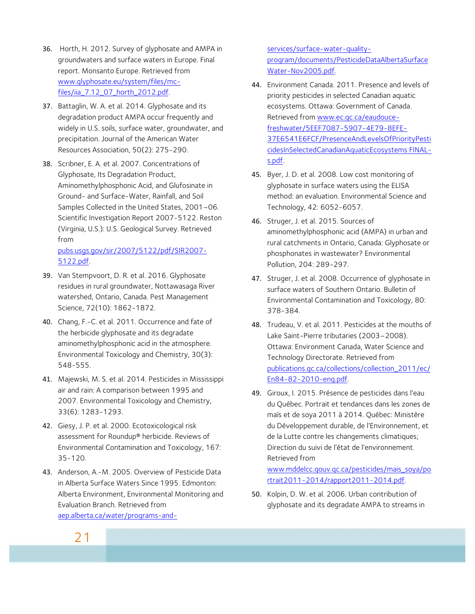- 36. Horth, H. 2012. Survey of glyphosate and AMPA in groundwaters and surface waters in Europe. Final report. Monsanto Europe. Retrieved from www.glyphosate.eu/system/files/mcfiles/iia\_7.12\_07\_horth\_2012.pdf.
- 37. Battaglin, W. A. et al. 2014. Glyphosate and its degradation product AMPA occur frequently and widely in U.S. soils, surface water, groundwater, and precipitation. Journal of the American Water Resources Association, 50(2): 275-290.
- 38. Scribner, E. A. et al. 2007. Concentrations of Glyphosate, Its Degradation Product, Aminomethylphosphonic Acid, and Glufosinate in Ground- and Surface-Water, Rainfall, and Soil Samples Collected in the United States, 2001–06. Scientific Investigation Report 2007-5122. Reston (Virginia, U.S.): U.S. Geological Survey. Retrieved from pubs.usgs.gov/sir/2007/5122/pdf/SIR2007-

5122.pdf.

- 39. Van Stempvoort, D. R. et al. 2016. Glyphosate residues in rural groundwater, Nottawasaga River watershed, Ontario, Canada. Pest Management Science, 72(10): 1862-1872.
- 40. Chang, F.-C. et al. 2011. Occurrence and fate of the herbicide glyphosate and its degradate aminomethylphosphonic acid in the atmosphere. Environmental Toxicology and Chemistry, 30(3): 548-555.
- 41. Majewski, M. S. et al. 2014. Pesticides in Mississippi air and rain: A comparison between 1995 and 2007. Environmental Toxicology and Chemistry, 33(6): 1283-1293.
- 42. Giesy, J. P. et al. 2000. Ecotoxicological risk assessment for Roundup® herbicide. Reviews of Environmental Contamination and Toxicology, 167: 35-120.
- 43. Anderson, A.-M. 2005. Overview of Pesticide Data in Alberta Surface Waters Since 1995. Edmonton: Alberta Environment, Environmental Monitoring and Evaluation Branch. Retrieved from aep.alberta.ca/water/programs-and-

services/surface-water-qualityprogram/documents/PesticideDataAlbertaSurface Water-Nov2005.pdf.

- 44. Environment Canada. 2011. Presence and levels of priority pesticides in selected Canadian aquatic ecosystems. Ottawa: Government of Canada. Retrieved from www.ec.gc.ca/eaudoucefreshwater/5EEF7087-5907-4E79-8EFE-37E6541E6FCF/PresenceAndLevelsOfPriorityPesti cidesInSelectedCanadianAquaticEcosystems FINALs.pdf.
- 45. Byer, J. D. et al. 2008. Low cost monitoring of glyphosate in surface waters using the ELISA method: an evaluation. Environmental Science and Technology, 42: 6052-6057.
- 46. Struger, J. et al. 2015. Sources of aminomethylphosphonic acid (AMPA) in urban and rural catchments in Ontario, Canada: Glyphosate or phosphonates in wastewater? Environmental Pollution, 204: 289-297.
- 47. Struger, J. et al. 2008. Occurrence of glyphosate in surface waters of Southern Ontario. Bulletin of Environmental Contamination and Toxicology, 80: 378-384.
- 48. Trudeau, V. et al. 2011. Pesticides at the mouths of Lake Saint-Pierre tributaries (2003–2008). Ottawa: Environment Canada, Water Science and Technology Directorate. Retrieved from publications.gc.ca/collections/collection\_2011/ec/ En84-82-2010-eng.pdf.
- 49. Giroux, I. 2015. Présence de pesticides dans l'eau du Québec. Portrait et tendances dans les zones de maïs et de soya 2011 à 2014. Québec: Ministère du Développement durable, de l'Environnement, et de la Lutte contre les changements climatiques; Direction du suivi de l'état de l'environnement. Retrieved from www.mddelcc.gouv.qc.ca/pesticides/mais\_soya/po

rtrait2011-2014/rapport2011-2014.pdf.

50. Kolpin, D. W. et al. 2006. Urban contribution of glyphosate and its degradate AMPA to streams in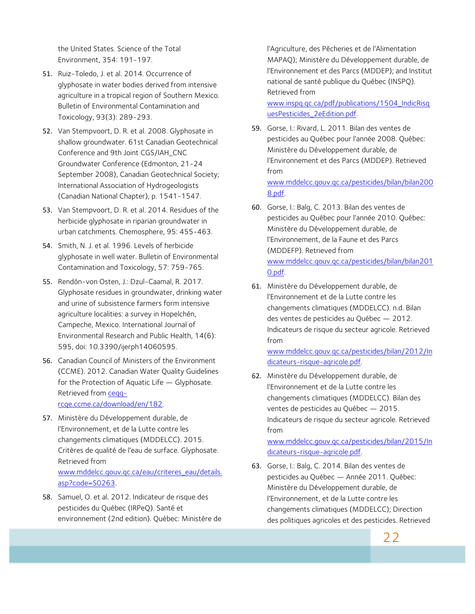the United States. Science of the Total Environment, 354: 191-197.

- 51. Ruiz-Toledo, J. et al. 2014. Occurrence of glyphosate in water bodies derived from intensive agriculture in a tropical region of Southern Mexico. Bulletin of Environmental Contamination and Toxicology, 93(3): 289-293.
- 52. Van Stempvoort, D. R. et al. 2008. Glyphosate in shallow groundwater. 61st Canadian Geotechnical Conference and 9th Joint CGS/IAH\_CNC Groundwater Conference (Edmonton, 21-24 September 2008), Canadian Geotechnical Society; International Association of Hydrogeologists (Canadian National Chapter), p. 1541-1547.
- 53. Van Stempvoort, D. R. et al. 2014. Residues of the herbicide glyphosate in riparian groundwater in urban catchments. Chemosphere, 95: 455-463.
- 54. Smith, N. J. et al. 1996. Levels of herbicide glyphosate in well water. Bulletin of Environmental Contamination and Toxicology, 57: 759-765.
- 55. Rendón-von Osten, J.: Dzul-Caamal, R. 2017. Glyphosate residues in groundwater, drinking water and urine of subsistence farmers form intensive agriculture localities: a survey in Hopelchén, Campeche, Mexico. International Journal of Environmental Research and Public Health, 14(6): 595, doi: 10.3390/ijerph14060595.
- 56. Canadian Council of Ministers of the Environment (CCME). 2012. Canadian Water Quality Guidelines for the Protection of Aquatic Life — Glyphosate. Retrieved from ceqgrcqe.ccme.ca/download/en/182.
- 57. Ministère du Développement durable, de l'Environnement, et de la Lutte contre les changements climatiques (MDDELCC). 2015. Critères de qualité de l'eau de surface. Glyphosate. Retrieved from www.mddelcc.gouv.qc.ca/eau/criteres\_eau/details. asp?code=S0263.
- 58. Samuel, O. et al. 2012. Indicateur de risque des pesticides du Québec (IRPeQ). Santé et environnement (2nd edition). Québec: Ministère de

l'Agriculture, des Pêcheries et de l'Alimentation MAPAQ); Ministère du Développement durable, de l'Environnement et des Parcs (MDDEP); and Institut national de santé publique du Québec (INSPQ). Retrieved from

www.inspq.qc.ca/pdf/publications/1504\_IndicRisq uesPesticides\_2eEdition.pdf.

- 59. Gorse, I.: Rivard, L. 2011. Bilan des ventes de pesticides au Québec pour l'année 2008. Québec: Ministère du Développement durable, de l'Environnement et des Parcs (MDDEP). Retrieved from www.mddelcc.gouv.qc.ca/pesticides/bilan/bilan200 8.pdf.
- 60. Gorse, I.: Balg, C. 2013. Bilan des ventes de pesticides au Québec pour l'année 2010. Québec: Ministère du Développement durable, de l'Environnement, de la Faune et des Parcs (MDDEFP). Retrieved from www.mddelcc.gouv.qc.ca/pesticides/bilan/bilan201 0.pdf.
- 61. Ministère du Développement durable, de l'Environnement et de la Lutte contre les changements climatiques (MDDELCC). n.d. Bilan des ventes de pesticides au Québec — 2012. Indicateurs de risque du secteur agricole. Retrieved from

www.mddelcc.gouv.qc.ca/pesticides/bilan/2012/In dicateurs-risque-agricole.pdf.

62. Ministère du Développement durable, de l'Environnement et de la Lutte contre les changements climatiques (MDDELCC). Bilan des ventes de pesticides au Québec — 2015. Indicateurs de risque du secteur agricole. Retrieved from

www.mddelcc.gouv.qc.ca/pesticides/bilan/2015/In dicateurs-risque-agricole.pdf.

63. Gorse, I.: Balg, C. 2014. Bilan des ventes de pesticides au Québec — Année 2011. Québec: Ministère du Développement durable, de l'Environnement, et de la Lutte contre les changements climatiques (MDDELCC); Direction des politiques agricoles et des pesticides. Retrieved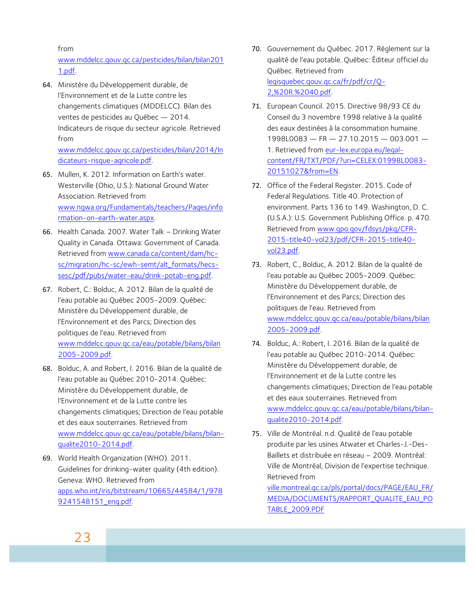from

www.mddelcc.gouv.qc.ca/pesticides/bilan/bilan201 1.pdf.

64. Ministère du Développement durable, de l'Environnement et de la Lutte contre les changements climatiques (MDDELCC). Bilan des ventes de pesticides au Québec — 2014. Indicateurs de risque du secteur agricole. Retrieved from

www.mddelcc.gouv.qc.ca/pesticides/bilan/2014/In dicateurs-risque-agricole.pdf.

- 65. Mullen, K. 2012. Information on Earth's water. Westerville (Ohio, U.S.): National Ground Water Association. Retrieved from www.ngwa.org/Fundamentals/teachers/Pages/info rmation-on-earth-water.aspx.
- 66. Health Canada. 2007. Water Talk Drinking Water Quality in Canada. Ottawa: Government of Canada. Retrieved from www.canada.ca/content/dam/hcsc/migration/hc-sc/ewh-semt/alt\_formats/hecssesc/pdf/pubs/water-eau/drink-potab-eng.pdf.
- 67. Robert, C.: Bolduc, A. 2012. Bilan de la qualité de l'eau potable au Québec 2005-2009. Québec: Ministère du Développement durable, de l'Environnement et des Parcs; Direction des politiques de l'eau. Retrieved from www.mddelcc.gouv.qc.ca/eau/potable/bilans/bilan 2005-2009.pdf.
- 68. Bolduc, A. and Robert, I. 2016. Bilan de la qualité de l'eau potable au Québec 2010-2014. Québec: Ministère du Développement durable, de l'Environnement et de la Lutte contre les changements climatiques; Direction de l'eau potable et des eaux souterraines. Retrieved from www.mddelcc.gouv.qc.ca/eau/potable/bilans/bilanqualite2010-2014.pdf.
- 69. World Health Organization (WHO). 2011. Guidelines for drinking-water quality (4th edition). Geneva: WHO. Retrieved from apps.who.int/iris/bitstream/10665/44584/1/978 9241548151\_eng.pdf.
- 70. Gouvernement du Québec. 2017. Règlement sur la qualité de l'eau potable. Québec: Éditeur officiel du Québec. Retrieved from legisquebec.gouv.qc.ca/fr/pdf/cr/Q-2,%20R.%2040.pdf.
- 71. European Council. 2015. Directive 98/93 CE du Conseil du 3 novembre 1998 relative à la qualité des eaux destinées à la consommation humaine. 1998L0083 — FR — 27.10.2015 — 003.001 — 1. Retrieved from eur-lex.europa.eu/legalcontent/FR/TXT/PDF/?uri=CELEX:01998L0083- 20151027&from=EN.
- 72. Office of the Federal Register. 2015. Code of Federal Regulations. Title 40. Protection of environment. Parts 136 to 149. Washington, D. C. (U.S.A.): U.S. Government Publishing Office. p. 470. Retrieved from www.gpo.gov/fdsys/pkg/CFR-2015-title40-vol23/pdf/CFR-2015-title40 vol23.pdf.
- 73. Robert, C., Bolduc, A. 2012. Bilan de la qualité de l'eau potable au Québec 2005-2009. Québec: Ministère du Développement durable, de l'Environnement et des Parcs; Direction des politiques de l'eau. Retrieved from www.mddelcc.gouv.qc.ca/eau/potable/bilans/bilan 2005-2009.pdf.
- 74. Bolduc, A.: Robert, I. 2016. Bilan de la qualité de l'eau potable au Québec 2010-2014. Québec: Ministère du Développement durable, de l'Environnement et de la Lutte contre les changements climatiques; Direction de l'eau potable et des eaux souterraines. Retrieved from www.mddelcc.gouv.qc.ca/eau/potable/bilans/bilanqualite2010-2014.pdf.
- 75. Ville de Montréal. n.d. Qualité de l'eau potable produite par les usines Atwater et Charles-J.-Des-Baillets et distribuée en réseau – 2009. Montréal: Ville de Montréal, Division de l'expertise technique. Retrieved from

ville.montreal.qc.ca/pls/portal/docs/PAGE/EAU\_FR/ MEDIA/DOCUMENTS/RAPPORT\_QUALITE\_EAU\_PO TABLE\_2009.PDF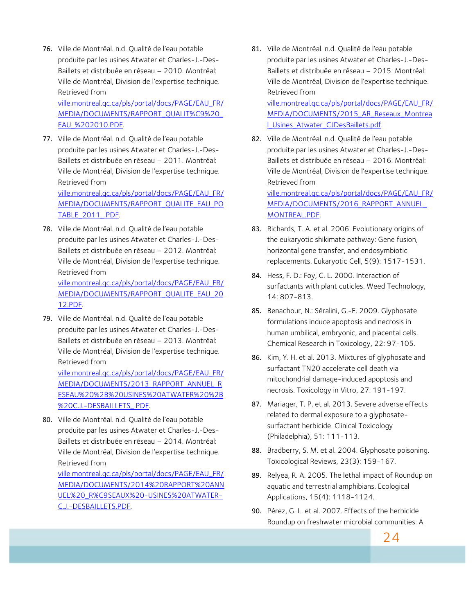76. Ville de Montréal. n.d. Qualité de l'eau potable produite par les usines Atwater et Charles-J.-Des-Baillets et distribuée en réseau – 2010. Montréal: Ville de Montréal, Division de l'expertise technique. Retrieved from

ville.montreal.qc.ca/pls/portal/docs/PAGE/EAU\_FR/ MEDIA/DOCUMENTS/RAPPORT\_QUALIT%C9%20\_ EAU\_%202010.PDF.

77. Ville de Montréal. n.d. Qualité de l'eau potable produite par les usines Atwater et Charles-J.-Des-Baillets et distribuée en réseau – 2011. Montréal: Ville de Montréal, Division de l'expertise technique. Retrieved from ville.montreal.qc.ca/pls/portal/docs/PAGE/EAU\_FR/ MEDIA/DOCUMENTS/RAPPORT\_QUALITE\_EAU\_PO

TABLE\_2011\_.PDF.

78. Ville de Montréal. n.d. Qualité de l'eau potable produite par les usines Atwater et Charles-J.-Des-Baillets et distribuée en réseau – 2012. Montréal: Ville de Montréal, Division de l'expertise technique. Retrieved from

ville.montreal.qc.ca/pls/portal/docs/PAGE/EAU\_FR/ MEDIA/DOCUMENTS/RAPPORT\_QUALITE\_EAU\_20 12.PDF.

79. Ville de Montréal. n.d. Qualité de l'eau potable produite par les usines Atwater et Charles-J.-Des-Baillets et distribuée en réseau – 2013. Montréal: Ville de Montréal, Division de l'expertise technique. Retrieved from

ville.montreal.qc.ca/pls/portal/docs/PAGE/EAU\_FR/ MEDIA/DOCUMENTS/2013\_RAPPORT\_ANNUEL\_R ESEAU%20%2B%20USINES%20ATWATER%20%2B %20C.J.-DESBAILLETS\_.PDF.

80. Ville de Montréal. n.d. Qualité de l'eau potable produite par les usines Atwater et Charles-J.-Des-Baillets et distribuée en réseau – 2014. Montréal: Ville de Montréal, Division de l'expertise technique. Retrieved from

ville.montreal.qc.ca/pls/portal/docs/PAGE/EAU\_FR/ MEDIA/DOCUMENTS/2014%20RAPPORT%20ANN UEL%20\_R%C9SEAUX%20-USINES%20ATWATER-C.J.-DESBAILLETS.PDF.

81. Ville de Montréal. n.d. Qualité de l'eau potable produite par les usines Atwater et Charles-J.-Des-Baillets et distribuée en réseau – 2015. Montréal: Ville de Montréal, Division de l'expertise technique. Retrieved from

ville.montreal.qc.ca/pls/portal/docs/PAGE/EAU\_FR/ MEDIA/DOCUMENTS/2015\_AR\_Reseaux\_Montrea l\_Usines\_Atwater\_CJDesBaillets.pdf.

82. Ville de Montréal. n.d. Qualité de l'eau potable produite par les usines Atwater et Charles-J.-Des-Baillets et distribuée en réseau – 2016. Montréal: Ville de Montréal, Division de l'expertise technique. Retrieved from

ville.montreal.qc.ca/pls/portal/docs/PAGE/EAU\_FR/ MEDIA/DOCUMENTS/2016\_RAPPORT\_ANNUEL\_ MONTREAL.PDF.

- 83. Richards, T. A. et al. 2006. Evolutionary origins of the eukaryotic shikimate pathway: Gene fusion, horizontal gene transfer, and endosymbiotic replacements. Eukaryotic Cell, 5(9): 1517-1531.
- 84. Hess, F. D.: Foy, C. L. 2000. Interaction of surfactants with plant cuticles. Weed Technology, 14: 807-813.
- 85. Benachour, N.: Séralini, G.-E. 2009. Glyphosate formulations induce apoptosis and necrosis in human umbilical, embryonic, and placental cells. Chemical Research in Toxicology, 22: 97-105.
- 86. Kim, Y. H. et al. 2013. Mixtures of glyphosate and surfactant TN20 accelerate cell death via mitochondrial damage-induced apoptosis and necrosis. Toxicology in Vitro, 27: 191-197.
- 87. Mariager, T. P. et al. 2013. Severe adverse effects related to dermal exposure to a glyphosatesurfactant herbicide. Clinical Toxicology (Philadelphia), 51: 111-113.
- 88. Bradberry, S. M. et al. 2004. Glyphosate poisoning. Toxicological Reviews, 23(3): 159-167.
- 89. Relyea, R. A. 2005. The lethal impact of Roundup on aquatic and terrestrial amphibians. Ecological Applications, 15(4): 1118-1124.
- 90. Pérez, G. L. et al. 2007. Effects of the herbicide Roundup on freshwater microbial communities: A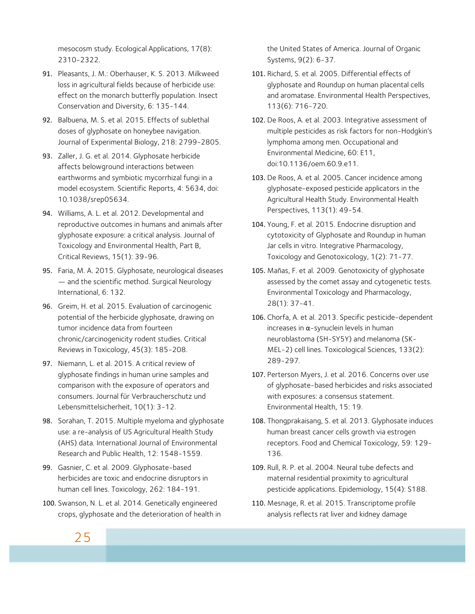mesocosm study. Ecological Applications, 17(8): 2310-2322.

- 91. Pleasants, J. M.: Oberhauser, K. S. 2013. Milkweed loss in agricultural fields because of herbicide use: effect on the monarch butterfly population. Insect Conservation and Diversity, 6: 135-144.
- 92. Balbuena, M. S. et al. 2015. Effects of sublethal doses of glyphosate on honeybee navigation. Journal of Experimental Biology, 218: 2799-2805.
- 93. Zaller, J. G. et al. 2014. Glyphosate herbicide affects belowground interactions between earthworms and symbiotic mycorrhizal fungi in a model ecosystem. Scientific Reports, 4: 5634, doi: 10.1038/srep05634.
- 94. Williams, A. L. et al. 2012. Developmental and reproductive outcomes in humans and animals after glyphosate exposure: a critical analysis. Journal of Toxicology and Environmental Health, Part B, Critical Reviews, 15(1): 39-96.
- 95. Faria, M. A. 2015. Glyphosate, neurological diseases — and the scientific method. Surgical Neurology International, 6: 132.
- 96. Greim, H. et al. 2015. Evaluation of carcinogenic potential of the herbicide glyphosate, drawing on tumor incidence data from fourteen chronic/carcinogenicity rodent studies. Critical Reviews in Toxicology, 45(3): 185-208.
- 97. Niemann, L. et al. 2015. A critical review of glyphosate findings in human urine samples and comparison with the exposure of operators and consumers. Journal für Verbraucherschutz und Lebensmittelsicherheit, 10(1): 3-12.
- 98. Sorahan, T. 2015. Multiple myeloma and glyphosate use: a re-analysis of US Agricultural Health Study (AHS) data. International Journal of Environmental Research and Public Health, 12: 1548-1559.
- 99. Gasnier, C. et al. 2009. Glyphosate-based herbicides are toxic and endocrine disruptors in human cell lines. Toxicology, 262: 184-191.
- 100. Swanson, N. L. et al. 2014. Genetically engineered crops, glyphosate and the deterioration of health in

the United States of America. Journal of Organic Systems, 9(2): 6-37.

- 101. Richard, S. et al. 2005. Differential effects of glyphosate and Roundup on human placental cells and aromatase. Environmental Health Perspectives, 113(6): 716-720.
- 102. De Roos, A. et al. 2003. Integrative assessment of multiple pesticides as risk factors for non-Hodgkin's lymphoma among men. Occupational and Environmental Medicine, 60: E11, doi:10.1136/oem.60.9.e11.
- 103. De Roos, A. et al. 2005. Cancer incidence among glyphosate-exposed pesticide applicators in the Agricultural Health Study. Environmental Health Perspectives, 113(1): 49-54.
- 104. Young, F. et al. 2015. Endocrine disruption and cytotoxicity of Glyphosate and Roundup in human Jar cells in vitro. Integrative Pharmacology, Toxicology and Genotoxicology, 1(2): 71-77.
- 105. Mañas, F. et al. 2009. Genotoxicity of glyphosate assessed by the comet assay and cytogenetic tests. Environmental Toxicology and Pharmacology, 28(1): 37-41.
- 106. Chorfa, A. et al. 2013. Specific pesticide-dependent increases in  $α$ -synuclein levels in human neuroblastoma (SH-SY5Y) and melanoma (SK-MEL-2) cell lines. Toxicological Sciences, 133(2): 289-297.
- 107. Perterson Myers, J. et al. 2016. Concerns over use of glyphosate-based herbicides and risks associated with exposures: a consensus statement. Environmental Health, 15: 19.
- 108. Thongprakaisang, S. et al. 2013. Glyphosate induces human breast cancer cells growth via estrogen receptors. Food and Chemical Toxicology, 59: 129- 136.
- 109. Rull, R. P. et al. 2004. Neural tube defects and maternal residential proximity to agricultural pesticide applications. Epidemiology, 15(4): S188.
- 110. Mesnage, R. et al. 2015. Transcriptome profile analysis reflects rat liver and kidney damage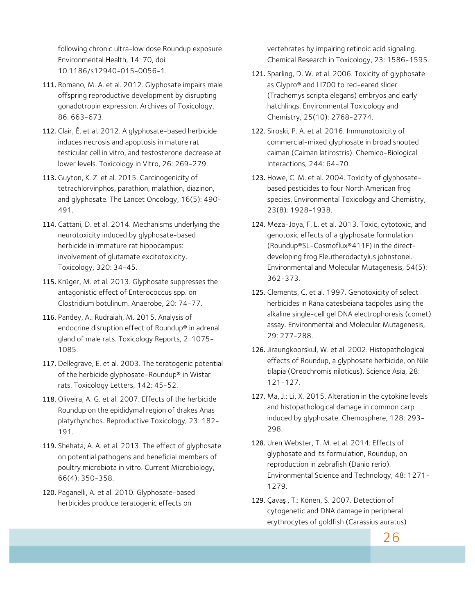following chronic ultra-low dose Roundup exposure. Environmental Health, 14: 70, doi: 10.1186/s12940-015-0056-1.

- 111. Romano, M. A. et al. 2012. Glyphosate impairs male offspring reproductive development by disrupting gonadotropin expression. Archives of Toxicology, 86: 663-673.
- 112. Clair, É. et al. 2012. A glyphosate-based herbicide induces necrosis and apoptosis in mature rat testicular cell in vitro, and testosterone decrease at lower levels. Toxicology in Vitro, 26: 269-279.
- 113. Guyton, K. Z. et al. 2015. Carcinogenicity of tetrachlorvinphos, parathion, malathion, diazinon, and glyphosate. The Lancet Oncology, 16(5): 490- 491.
- 114. Cattani, D. et al. 2014. Mechanisms underlying the neurotoxicity induced by glyphosate-based herbicide in immature rat hippocampus: involvement of glutamate excitotoxicity. Toxicology, 320: 34-45.
- 115. Krüger, M. et al. 2013. Glyphosate suppresses the antagonistic effect of Enterococcus spp. on Clostridium botulinum. Anaerobe, 20: 74-77.
- 116. Pandey, A.: Rudraiah, M. 2015. Analysis of endocrine disruption effect of Roundup® in adrenal gland of male rats. Toxicology Reports, 2: 1075- 1085.
- 117. Dellegrave, E. et al. 2003. The teratogenic potential of the herbicide glyphosate-Roundup® in Wistar rats. Toxicology Letters, 142: 45-52.
- 118. Oliveira, A. G. et al. 2007. Effects of the herbicide Roundup on the epididymal region of drakes Anas platyrhynchos. Reproductive Toxicology, 23: 182- 191.
- 119. Shehata, A. A. et al. 2013. The effect of glyphosate on potential pathogens and beneficial members of poultry microbiota in vitro. Current Microbiology, 66(4): 350-358.
- 120. Paganelli, A. et al. 2010. Glyphosate-based herbicides produce teratogenic effects on

vertebrates by impairing retinoic acid signaling. Chemical Research in Toxicology, 23: 1586-1595.

- 121. Sparling, D. W. et al. 2006. Toxicity of glyphosate as Glypro® and LI700 to red-eared slider (Trachemys scripta elegans) embryos and early hatchlings. Environmental Toxicology and Chemistry, 25(10): 2768-2774.
- 122. Siroski, P. A. et al. 2016. Immunotoxicity of commercial-mixed glyphosate in broad snouted caiman (Caiman latirostris). Chemico-Biological Interactions, 244: 64-70.
- 123. Howe, C. M. et al. 2004. Toxicity of glyphosatebased pesticides to four North American frog species. Environmental Toxicology and Chemistry, 23(8): 1928-1938.
- 124. Meza-Joya, F. L. et al. 2013. Toxic, cytotoxic, and genotoxic effects of a glyphosate formulation (Roundup®SL-Cosmoflux®411F) in the directdeveloping frog Eleutherodactylus johnstonei. Environmental and Molecular Mutagenesis, 54(5): 362-373.
- 125. Clements, C. et al. 1997. Genotoxicity of select herbicides in Rana catesbeiana tadpoles using the alkaline single-cell gel DNA electrophoresis (comet) assay. Environmental and Molecular Mutagenesis, 29: 277-288.
- 126. Jiraungkoorskul, W. et al. 2002. Histopathological effects of Roundup, a glyphosate herbicide, on Nile tilapia (Oreochromis niloticus). Science Asia, 28: 121-127.
- 127. Ma, J.: Li, X. 2015. Alteration in the cytokine levels and histopathological damage in common carp induced by glyphosate. Chemosphere, 128: 293- 298.
- 128. Uren Webster, T. M. et al. 2014. Effects of glyphosate and its formulation, Roundup, on reproduction in zebrafish (Danio rerio). Environmental Science and Technology, 48: 1271- 1279.
- 129. Çavaş , T.: Könen, S. 2007. Detection of cytogenetic and DNA damage in peripheral erythrocytes of goldfish (Carassius auratus)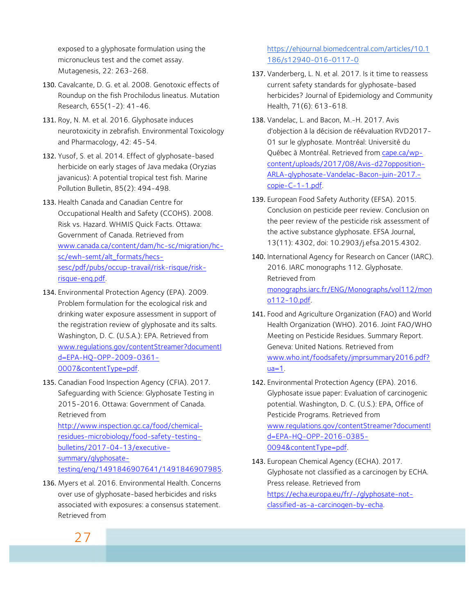exposed to a glyphosate formulation using the micronucleus test and the comet assay. Mutagenesis, 22: 263-268.

- 130. Cavalcante, D. G. et al. 2008. Genotoxic effects of Roundup on the fish Prochilodus lineatus. Mutation Research, 655(1-2): 41-46.
- 131. Roy, N. M. et al. 2016. Glyphosate induces neurotoxicity in zebrafish. Environmental Toxicology and Pharmacology, 42: 45-54.
- 132. Yusof, S. et al. 2014. Effect of glyphosate-based herbicide on early stages of Java medaka (Oryzias javanicus): A potential tropical test fish. Marine Pollution Bulletin, 85(2): 494-498.
- 133. Health Canada and Canadian Centre for Occupational Health and Safety (CCOHS). 2008. Risk vs. Hazard. WHMIS Quick Facts. Ottawa: Government of Canada. Retrieved from www.canada.ca/content/dam/hc-sc/migration/hcsc/ewh-semt/alt\_formats/hecssesc/pdf/pubs/occup-travail/risk-risque/riskrisque-eng.pdf.
- 134. Environmental Protection Agency (EPA). 2009. Problem formulation for the ecological risk and drinking water exposure assessment in support of the registration review of glyphosate and its salts. Washington, D. C. (U.S.A.): EPA. Retrieved from www.regulations.gov/contentStreamer?documentI d=EPA-HQ-OPP-2009-0361- 0007&contentType=pdf.
- 135. Canadian Food Inspection Agency (CFIA). 2017. Safeguarding with Science: Glyphosate Testing in 2015-2016. Ottawa: Government of Canada. Retrieved from

http://www.inspection.gc.ca/food/chemicalresidues-microbiology/food-safety-testingbulletins/2017-04-13/executivesummary/glyphosatetesting/eng/1491846907641/1491846907985.

136. Myers et al. 2016. Environmental Health. Concerns over use of glyphosate-based herbicides and risks associated with exposures: a consensus statement. Retrieved from

#### https://ehjournal.biomedcentral.com/articles/10.1 186/s12940-016-0117-0

- 137. Vanderberg, L. N. et al. 2017. Is it time to reassess current safety standards for glyphosate-based herbicides? Journal of Epidemiology and Community Health, 71(6): 613-618.
- 138. Vandelac, L. and Bacon, M.-H. 2017. Avis d'objection à la décision de réévaluation RVD2017- 01 sur le glyphosate. Montréal: Université du Québec à Montréal. Retrieved from cape.ca/wpcontent/uploads/2017/08/Avis-d27opposition-ARLA-glyphosate-Vandelac-Bacon-juin-2017. copie-C-1-1.pdf.
- 139. European Food Safety Authority (EFSA). 2015. Conclusion on pesticide peer review. Conclusion on the peer review of the pesticide risk assessment of the active substance glyphosate. EFSA Journal, 13(11): 4302, doi: 10.2903/j.efsa.2015.4302.
- 140. International Agency for Research on Cancer (IARC). 2016. IARC monographs 112. Glyphosate. Retrieved from monographs.iarc.fr/ENG/Monographs/vol112/mon o112-10.pdf.
- 141. Food and Agriculture Organization (FAO) and World Health Organization (WHO). 2016. Joint FAO/WHO Meeting on Pesticide Residues. Summary Report. Geneva: United Nations. Retrieved from www.who.int/foodsafety/jmprsummary2016.pdf?  $ua=1$ .
- 142. Environmental Protection Agency (EPA). 2016. Glyphosate issue paper: Evaluation of carcinogenic potential. Washington, D. C. (U.S.): EPA, Office of Pesticide Programs. Retrieved from www.regulations.gov/contentStreamer?documentI d=EPA-HQ-OPP-2016-0385- 0094&contentType=pdf.
- 143. European Chemical Agency (ECHA). 2017. Glyphosate not classified as a carcinogen by ECHA. Press release. Retrieved from https://echa.europa.eu/fr/-/glyphosate-notclassified-as-a-carcinogen-by-echa.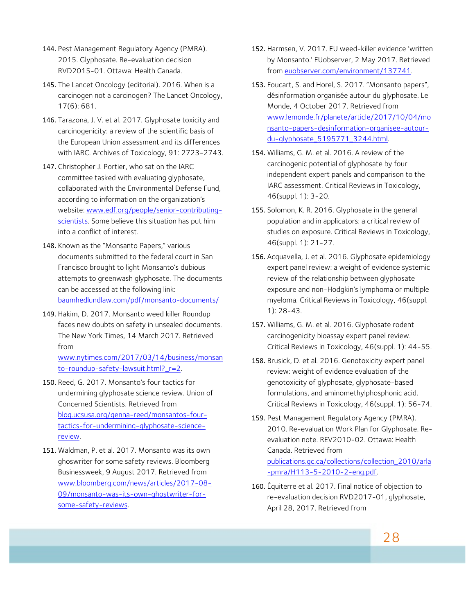- 144. Pest Management Regulatory Agency (PMRA). 2015. Glyphosate. Re-evaluation decision RVD2015-01. Ottawa: Health Canada.
- 145. The Lancet Oncology (editorial). 2016. When is a carcinogen not a carcinogen? The Lancet Oncology, 17(6): 681.
- 146. Tarazona, J. V. et al. 2017. Glyphosate toxicity and carcinogenicity: a review of the scientific basis of the European Union assessment and its differences with IARC. Archives of Toxicology, 91: 2723-2743.
- 147. Christopher J. Portier, who sat on the IARC committee tasked with evaluating glyphosate, collaborated with the Environmental Defense Fund, according to information on the organization's website: www.edf.org/people/senior-contributingscientists. Some believe this situation has put him into a conflict of interest.
- 148. Known as the "Monsanto Papers," various documents submitted to the federal court in San Francisco brought to light Monsanto's dubious attempts to greenwash glyphosate. The documents can be accessed at the following link: baumhedlundlaw.com/pdf/monsanto-documents/
- 149. Hakim, D. 2017. Monsanto weed killer Roundup faces new doubts on safety in unsealed documents. The New York Times, 14 March 2017. Retrieved from

www.nytimes.com/2017/03/14/business/monsan to-roundup-safety-lawsuit.html?\_r=2.

- 150. Reed, G. 2017. Monsanto's four tactics for undermining glyphosate science review. Union of Concerned Scientists. Retrieved from blog.ucsusa.org/genna-reed/monsantos-fourtactics-for-undermining-glyphosate-sciencereview.
- 151. Waldman, P. et al. 2017. Monsanto was its own ghoswriter for some safety reviews. Bloomberg Businessweek, 9 August 2017. Retrieved from www.bloomberg.com/news/articles/2017-08- 09/monsanto-was-its-own-ghostwriter-forsome-safety-reviews.
- 152. Harmsen, V. 2017. EU weed-killer evidence 'written by Monsanto.' EUobserver, 2 May 2017. Retrieved from euobserver.com/environment/137741.
- 153. Foucart, S. and Horel, S. 2017. "Monsanto papers", désinformation organisée autour du glyphosate. Le Monde, 4 October 2017. Retrieved from www.lemonde.fr/planete/article/2017/10/04/mo nsanto-papers-desinformation-organisee-autourdu-glyphosate\_5195771\_3244.html.
- 154. Williams, G. M. et al. 2016. A review of the carcinogenic potential of glyphosate by four independent expert panels and comparison to the IARC assessment. Critical Reviews in Toxicology, 46(suppl. 1): 3-20.
- 155. Solomon, K. R. 2016. Glyphosate in the general population and in applicators: a critical review of studies on exposure. Critical Reviews in Toxicology, 46(suppl. 1): 21-27.
- 156. Acquavella, J. et al. 2016. Glyphosate epidemiology expert panel review: a weight of evidence systemic review of the relationship between glyphosate exposure and non-Hodgkin's lymphoma or multiple myeloma. Critical Reviews in Toxicology, 46(suppl. 1): 28-43.
- 157. Williams, G. M. et al. 2016. Glyphosate rodent carcinogenicity bioassay expert panel review. Critical Reviews in Toxicology, 46(suppl. 1): 44-55.
- 158. Brusick, D. et al. 2016. Genotoxicity expert panel review: weight of evidence evaluation of the genotoxicity of glyphosate, glyphosate-based formulations, and aminomethylphosphonic acid. Critical Reviews in Toxicology, 46(suppl. 1): 56-74.
- 159. Pest Management Regulatory Agency (PMRA). 2010. Re-evaluation Work Plan for Glyphosate. Reevaluation note. REV2010-02. Ottawa: Health Canada. Retrieved from publications.gc.ca/collections/collection\_2010/arla -pmra/H113-5-2010-2-eng.pdf.
- 160. Équiterre et al. 2017. Final notice of objection to re-evaluation decision RVD2017-01, glyphosate, April 28, 2017. Retrieved from